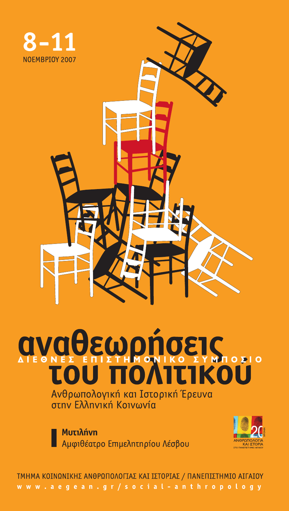

# *<u>AVAOEWOMOEIS</u>*

Ανθρωπολογική και Ιστορική Έρευνα στην Ελληνική Κοινωνία

**M**utiλήνη Αμφιθέατρο Επιμελητηρίου Λέσβου



ΤΜΗΜΑ ΚΟΙΝΩΝΙΚΗΣ ΑΝΘΡΩΠΟΛΟΓΙΑΣ ΚΑΙ ΙΣΤΟΡΙΑΣ / ΠΑΝΕΠΙΣΤΗΜΙΟ ΑΙΓΑΙΟΥ www.aegean.gr/social-anthropology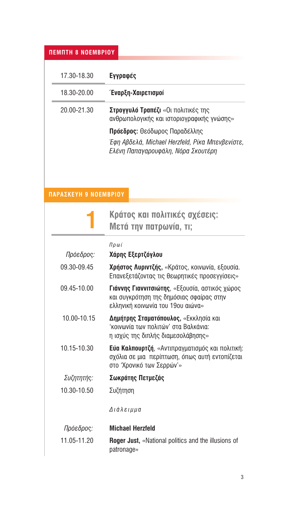#### *<u>NEMNTH 8 NOEMBPIOY</u>*

| 17.30-18.30 | Εγγραφές                                                                                                               |
|-------------|------------------------------------------------------------------------------------------------------------------------|
| 18.30-20.00 | Έναρξη-Χαιρετισμοί                                                                                                     |
| 20.00-21.30 | <b>Στρογγυλό Τραπέζι</b> «Οι πολιτικές της<br>ανθρωπολογικής και ιστοριογραφικής γνώσης»                               |
|             | Πρόεδρος: Θεόδωρος Παραδέλλης<br>Έφη Αβδελά, Michael Herzfeld, Ρίκα Μπενβενίστε,<br>Ελένη Παπαγαρουφάλη, Νόρα Σκουτέρη |

## **ΠΑΡΑΣΚΕΥΗ 9 ΝΟΕΜΒΡΙΟΥ**

|             | Κράτος και πολιτικές σχέσεις:<br>Μετά την πατρωνία, τι;                                                                                 |
|-------------|-----------------------------------------------------------------------------------------------------------------------------------------|
|             | Πρωί                                                                                                                                    |
| Πρόεδρος:   | Χάρης Εξερτζόγλου                                                                                                                       |
| 09.30-09.45 | <b>Χρήστος Λυριντζής,</b> «Κράτος, κοινωνία, εξουσία.<br>Επανεξετάζοντας τις θεωρητικές προσεγγίσεις»                                   |
| 09.45-10.00 | <b>Γιάννης Γιαννιτσιώτης</b> , «Εξουσία, αστικός χώρος<br>και συγκρότηση της δημόσιας σφαίρας στην<br>ελληνική κοινωνία του 19ου αιώνα» |
| 10.00-10.15 | Δημήτρης Σταματόπουλος, «Εκκλησία και<br>'κοινωνία των πολιτών' στα Βαλκάνια:<br>η ισχύς της διπλής διαμεσολάβησης»                     |
| 10.15-10.30 | <b>Εύα Καλπουρτζή</b> , «Αντιπραγματισμός και πολιτική:<br>σχόλια σε μια περίπτωση, όπως αυτή εντοπίζεται<br>στο 'Χρονικό των Σερρών'»  |
| Συζητητής:  | Σωκράτης Πετμεζάς                                                                                                                       |
| 10.30-10.50 | Συζήτηση                                                                                                                                |
|             | Διάλειμμα                                                                                                                               |
| Πρόεδρος:   | <b>Michael Herzfeld</b>                                                                                                                 |
| 11.05-11.20 | <b>Roger Just, «National politics and the illusions of</b><br>patronage»                                                                |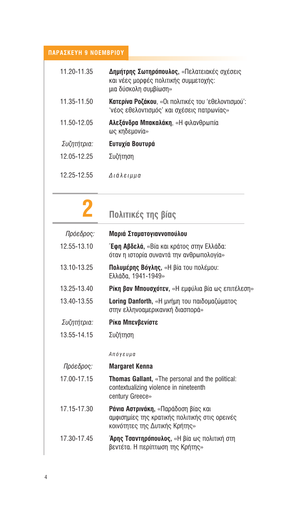#### ΠΑΡΑΣΚΕΥΗ 9 ΝΟΕΜΒΡΙΟΥ

| 11.20-11.35 | Δημήτρης Σωτηρόπουλος, «Πελατειακές σχέσεις<br>και νέες μορφές πολιτικής συμμετοχής:<br>μια δύσκολη συμβίωση» |
|-------------|---------------------------------------------------------------------------------------------------------------|
| 11.35-11.50 | <b>Κατερίνα Ροζάκου</b> , «Οι πολιτικές του 'εθελοντισμού':<br>'νέος εθελοντισμός' και σχέσεις πατρωνίας»     |
| 11.50-12.05 | <b>Αλεξάνδρα Μπακαλάκη</b> , «Η φιλανθρωπία<br>ως κηδεμονία»                                                  |
| Συζητήτρια: | Ευτυχία Βουτυρά                                                                                               |
| 12.05-12.25 | Συζήτηση                                                                                                      |
| 12.25-12.55 | Διάλειμμα                                                                                                     |

#### $\mathbf 2$ Πολιτικές της βίας Μαριά Σταματογιαννοπούλου Πρόεδρος: 12 55-13 10 Έφη Αβδελά, «Βία και κράτος στην Ελλάδα: όταν η ιστορία συναντά την ανθρωπολογία» 13 10-13 25 Πολυμέρης Βόγλης, «Η βία του πολέμου: Ελλάδα. 1941-1949» 13 25-13 40 Pίκη βαν Μπουσχότεν, «Η εμφύλια βία ως επιτέλεση» 13.40-13.55 Loring Danforth, «Η μνήμη του παιδομαζώματος στην ελληνοαμερικανική διασπορά» Συζητήτρια: Ρίκα Μπενβενίστε 13.55-14.15 Συζήτηση Απόγευμα Πρόεδρος: **Margaret Kenna** 17.00-17.15 Thomas Gallant, «The personal and the political: contextualizing violence in nineteenth century Greece» 17.15-17.30 Pávia Αστρινάκη, «Παράδοση βίας και αμφισημίες της κρατικής πολιτικής στις ορεινές

#### κοινότητες της Δυτικής Κρήτης» 17.30-17.45 Άρης Τσαντηρόπουλος, «Η βία ως πολιτική στη βεντέτα. Η περίπτωση της Κρήτης»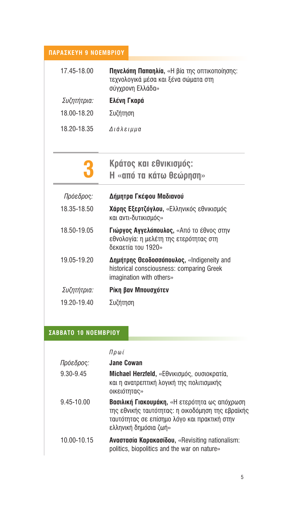#### **ΠΑΡΑΣΚΕΥΗ 9 ΝΟΕΜΒΡΙΟΥ**

| 17.45-18.00 | <b>Πηνελόπη Παπαηλία, «Η βία της οπτικοποίησης:</b><br>τεχνολογικά μέσα και ξένα σώματα στη<br>σύγχρονη Ελλάδα» |
|-------------|-----------------------------------------------------------------------------------------------------------------|
| Συζητήτρια: | Ελένη Γκαρά                                                                                                     |
| 18.00-18.20 | Συζήτηση                                                                                                        |

18.20-18.35 Διάλειμμα

| n           | Κράτος και εθνικισμός:  |
|-------------|-------------------------|
| $\mathbf U$ | Η «από τα κάτω θεώρηση» |

| Πρόεδρος:   | Δήμητρα Γκέφου Μαδιανού                                                                                            |
|-------------|--------------------------------------------------------------------------------------------------------------------|
| 18.35-18.50 | <b>Χάρης Εξερτζόγλου, «Ελληνικός εθνικισμός</b><br>και αντι-δυτικισμός»                                            |
| 18.50-19.05 | Γιώργος Αγγελόπουλος, «Από το έθνος στην<br>εθνολογία: η μελέτη της ετερότητας στη<br>δεκαετία του 1920»           |
| 19.05-19.20 | Δημήτρης Θεοδοσσόπουλος, «Indigeneity and<br>historical consciousness: comparing Greek<br>imagination with others» |
| Συζητήτρια: | Ρίκη βαν Μπουσχότεν                                                                                                |
| 19.20-19.40 |                                                                                                                    |

### **ΣΑΒΒΑΤΟ 10 ΝΟΕΜΒΡΙΟΥ**

 $\Pi \rho \omega i$ 

| Πρόεδρος:   | <b>Jane Cowan</b>                                                                                                                                                                  |
|-------------|------------------------------------------------------------------------------------------------------------------------------------------------------------------------------------|
| 9.30-9.45   | Michael Herzfeld, «Εθνικισμός, ουσιοκρατία,<br>και η ανατρεπτική λογική της πολιτισμικής<br>οικειότητας»                                                                           |
| 9.45-10.00  | <b>Βασιλική Γιακουμάκη, «Η ετερότητα ως απόχρωση</b><br>της εθνικής ταυτότητας: η οικοδόμηση της εβραϊκής<br>ταυτότητας σε επίσημο λόγο και πρακτική στην<br>ελληνική δημόσια ζωή» |
| 10.00-10.15 | <b>Avagragía Καρακασίδου, «Revisiting nationalism:</b><br>politics, biopolitics and the war on nature»                                                                             |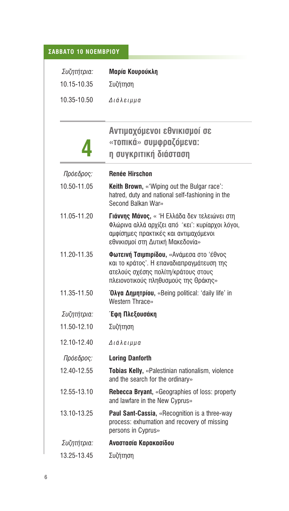# **ΣΑΒΒΑΤΟ 10 ΝΟΕΜΒΡΙΟΥ**

| Συζητήτρια: | Maρία Κουρούκλη                                                                                                                                                              |
|-------------|------------------------------------------------------------------------------------------------------------------------------------------------------------------------------|
| 10.15-10.35 | Συζήτηση                                                                                                                                                                     |
| 10.35-10.50 | Διάλειμμα                                                                                                                                                                    |
|             |                                                                                                                                                                              |
|             | Αντιμαχόμενοι εθνικισμοί σε                                                                                                                                                  |
|             | «τοπικά» συμφραζόμενα:                                                                                                                                                       |
|             | η συγκριτική διάσταση                                                                                                                                                        |
| Πρόεδρος:   | <b>Renée Hirschon</b>                                                                                                                                                        |
| 10.50-11.05 | Keith Brown, «'Wiping out the Bulgar race':<br>hatred, duty and national self-fashioning in the<br>Second Balkan War»                                                        |
| 11.05-11.20 | Γιάννης Μάνος, « Ή Ελλάδα δεν τελειώνει στη<br>Φλώρινα αλλά αρχίζει από 'κει': κυρίαρχοι λόγοι,<br>αμφίσημες πρακτικές και αντιμαχόμενοι<br>εθνικισμοί στη Δυτική Μακεδονία» |
| 11.20-11.35 | Φωτεινή Τσιμπιρίδου, «Ανάμεσα στο 'έθνος<br>και το κράτος'. Η επαναδιαπραγμάτευση της<br>ατελούς σχέσης πολίτη/κράτους στους<br>πλειονοτικούς πληθυσμούς της Θράκης»         |
| 11.35-11.50 | Όλγα Δημητρίου, «Being political: 'daily life' in<br><b>Western Thrace»</b>                                                                                                  |
| Συζητήτρια: | Έφη Πλεξουσάκη                                                                                                                                                               |
| 11.50-12.10 | Συζήτηση                                                                                                                                                                     |
| 12.10-12.40 | Διάλειμμα                                                                                                                                                                    |
| Πρόεδρος:   | <b>Loring Danforth</b>                                                                                                                                                       |
| 12.40-12.55 | Tobias Kelly, «Palestinian nationalism, violence<br>and the search for the ordinary»                                                                                         |
| 12.55-13.10 | Rebecca Bryant, «Geographies of loss: property<br>and lawfare in the New Cyprus»                                                                                             |
| 13.10-13.25 | Paul Sant-Cassia, «Recognition is a three-way<br>process: exhumation and recovery of missing<br>persons in Cyprus»                                                           |
| Συζητήτρια: | Αναστασία Καρακασίδου                                                                                                                                                        |
| 13.25-13.45 | Συζήτηση                                                                                                                                                                     |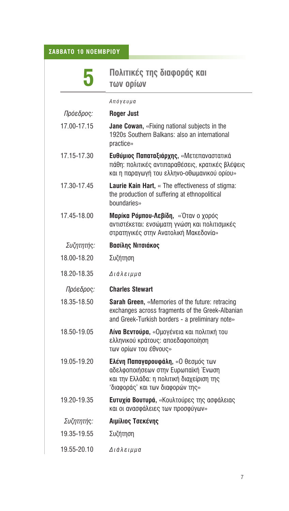# **ΣΑΒΒΑΤΟ 10 ΝΟΕΜΒΡΙΟΥ**

|             | Πολιτικές της διαφοράς και<br>των ορίων                                                                                                                    |
|-------------|------------------------------------------------------------------------------------------------------------------------------------------------------------|
|             | Απόγευμα                                                                                                                                                   |
| Πρόεδρος:   | Roger Just                                                                                                                                                 |
| 17.00-17.15 | Jane Cowan, «Fixing national subjects in the<br>1920s Southern Balkans: also an international<br>practice»                                                 |
| 17.15-17.30 | Ευθύμιος Παπαταξιάρχης, «Μετεπαναστατικά<br>πάθη: πολιτικές αντιπαραθέσεις, κρατικές βλέψεις<br>και η παραγωγή του ελληνο-οθωμανικού ορίου»                |
| 17.30-17.45 | Laurie Kain Hart, « The effectiveness of stigma:<br>the production of suffering at ethnopolitical<br>houndaries»                                           |
| 17.45-18.00 | Μαρίκα Ρόμπου-Λεβίδη, «Όταν ο χορός<br>αντιστέκεται: ενσώματη γνώση και πολιτισμικές<br>στρατηγικές στην Ανατολική Μακεδονία»                              |
| Συζητητής:  | Βασίλης Νιτσιάκος                                                                                                                                          |
| 18.00-18.20 | Συζήτηση                                                                                                                                                   |
| 18.20-18.35 | Διάλειμμα                                                                                                                                                  |
| Πρόεδρος:   | <b>Charles Stewart</b>                                                                                                                                     |
| 18.35-18.50 | Sarah Green, «Memories of the future: retracing<br>exchanges across fragments of the Greek-Albanian<br>and Greek-Turkish borders - a preliminary note»     |
| 18.50-19.05 | Λίνα Βεντούρα, «Ομογένεια και πολιτική του<br>ελληνικού κράτους: αποεδαφοποίηση<br>των ορίων του έθνους»                                                   |
| 19.05-19.20 | Ελένη Παπαγαρουφάλη, «Ο θεσμός των<br>αδελφοποιήσεων στην Ευρωπαϊκή Ένωση<br>και την Ελλάδα: η πολιτική διαχείριση της<br>'διαφοράς' και των διαφορών της» |
| 19.20-19.35 | Euruxía Bourupá, «Κουλτούρες της ασφάλειας<br>και οι ανασφάλειες των προσφύγων»                                                                            |
| Συζητητής:  | Αιμίλιος Τσεκένης                                                                                                                                          |
| 19.35-19.55 | Συζήτηση                                                                                                                                                   |
| 19.55-20.10 | Διάλειμμα                                                                                                                                                  |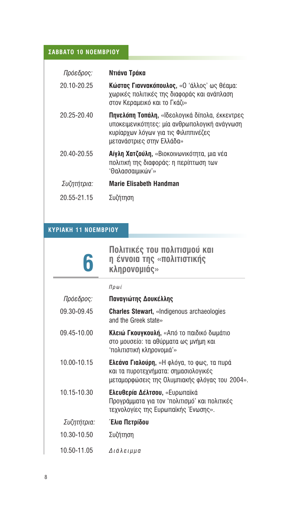### $Σ$ **ABBATO 10 NOEMBPIOY**

| Πρόεδρος:   | Ντιάνα Τράκα                                                                                                                                                         |
|-------------|----------------------------------------------------------------------------------------------------------------------------------------------------------------------|
| 20.10-20.25 | Κώστας Γιαννακόπουλος, «Ο 'άλλος' ως θέαμα:<br>χωρικές πολιτικές της διαφοράς και ανάπλαση<br>στον Κεραμεικό και το Γκάζι»                                           |
| 20.25-20.40 | Πηνελόπη Τοπάλη, «Ιδεολογικά δίπολα, έκκεντρες<br>υποκειμενικότητες: μία ανθρωπολογική ανάγνωση<br>κυρίαρχων λόγων για τις Φιλιππινέζες<br>μετανάστριες στην Ελλάδα» |
| 20.40-20.55 | <b>Αίγλη Χατζούλη,</b> «Βιοκοινωνικότητα, μια νέα<br>πολιτική της διαφοράς: η περίπτωση των<br><i>'Θαλασσαιμικών'»</i>                                               |
| Συζητήτρια: | <b>Marie Elisabeth Handman</b>                                                                                                                                       |
| 20.55-21.15 |                                                                                                                                                                      |

#### **KYPIAKH 11 NOEMBPIOY**

| $\boldsymbol{\hat{6}}$ | Πολιτικές του πολιτισμού και<br>η έννοια της «πολιτιστικής<br>κληρονομιάς»                                                                  |
|------------------------|---------------------------------------------------------------------------------------------------------------------------------------------|
|                        | Πρωί                                                                                                                                        |
| Πρόεδρος:              | Παναγιώτης Δουκέλλης                                                                                                                        |
| 09.30-09.45            | <b>Charles Stewart, «Indigenous archaeologies</b><br>and the Greek state»                                                                   |
| 09.45-10.00            | Κλειώ Γκουγκουλή, «Από το παιδικό δωμάτιο<br>στο μουσείο: τα αθύρματα ως μνήμη και<br>'πολιτιστική κληρονομιά'»                             |
| 10.00-10.15            | <b>Ελεάνα Γιαλούρη,</b> «Η φλόγα, το φως, τα πυρά<br>και τα πυροτεχνήματα: σημασιολογικές<br>μεταμορφώσεις της Ολυμπιακής φλόγας του 2004». |
| 10.15-10.30            | <b>Ελευθερία Δέλτσου,</b> «Ευρωπαϊκά<br>Προγράμματα για τον 'πολιτισμό' και πολιτικές<br>τεχνολογίες της Ευρωπαϊκής Ένωσης».                |
| Συζητήτρια:            | Έλια Πετρίδου                                                                                                                               |
| 10.30-10.50            | Συζήτηση                                                                                                                                    |
| 10.50-11.05            | Διάλειμμα                                                                                                                                   |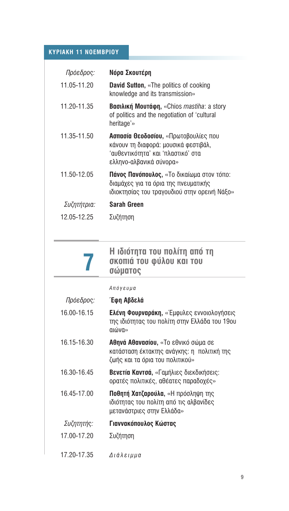#### **KYPIAKH 11 NOEMBPIOY**

| Πρόεδρος:   | Νόρα Σκουτέρη                                                                                                                                        |
|-------------|------------------------------------------------------------------------------------------------------------------------------------------------------|
| 11.05-11.20 | <b>David Sutton, «The politics of cooking</b><br>knowledge and its transmission»                                                                     |
| 11.20-11.35 | Bασιλική Μουτάφη, «Chios mastiha: a story<br>of politics and the negotiation of 'cultural<br>heritage'»                                              |
| 11.35-11.50 | <b>Ασπασία Θεοδοσίου, «Πρωτοβουλίες που</b><br>κάνουν τη διαφορά: μουσικά φεστιβάλ,<br>'αυθεντικότητα' και 'πλαστικό' στα<br>ελληνο-αλβανικά σύνορα» |
| 11.50-12.05 | <b>Πάνος Πανόπουλος, «Το δικαίωμα στον τόπο:</b><br>διαμάχες για τα όρια της πνευματικής<br>ιδιοκτησίας του τραγουδιού στην ορεινή Νάξο»             |
| Συζητήτρια: | Sarah Green                                                                                                                                          |
| 12.05-12.25 | Συζήτηση                                                                                                                                             |

|             | Η ιδιότητα του πολίτη από τη<br>σκοπιά του φύλου και του<br>σώματος                                                         |
|-------------|-----------------------------------------------------------------------------------------------------------------------------|
|             | Απόγευμα                                                                                                                    |
| Πρόεδρος:   | Έφη Αβδελά                                                                                                                  |
| 16.00-16.15 | <b>Ελένη Φουρναράκη, «Έμφυλες εννοιολογήσεις</b><br>της ιδιότητας του πολίτη στην Ελλάδα του 19ου<br>«ηνώνη                 |
| 16.15-16.30 | <b>Αθηνά Αθανασίου,</b> «Το εθνικό σώμα σε<br>κατάσταση έκτακτης ανάγκης: η πολιτική της<br>ζωής και τα όρια του πολιτικού» |
| 16.30-16.45 | <b>Βενετία Καντσά,</b> «Γαμήλιες διεκδικήσεις:<br>ορατές πολιτικές, αθέατες παραδοχές»                                      |
| 16.45-17.00 | <b>Ποθητή Χατζαρούλα, «Η πρόσληψη της</b><br>ιδιότητας του πολίτη από τις αλβανίδες<br>μετανάστριες στην Ελλάδα»            |
| Συζητητής:  | Γιαννακόπουλος Κώστας                                                                                                       |
| 17.00-17.20 | Συζήτηση                                                                                                                    |
| 17.20-17.35 | Διάλειμμα                                                                                                                   |